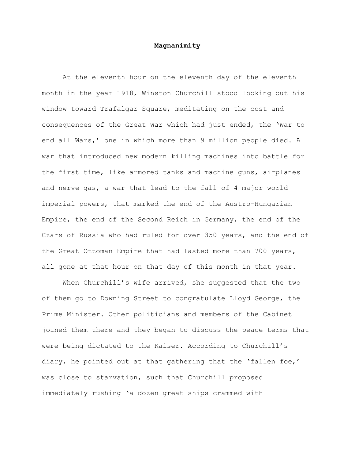## **Magnanimity**

At the eleventh hour on the eleventh day of the eleventh month in the year 1918, Winston Churchill stood looking out his window toward Trafalgar Square, meditating on the cost and consequences of the Great War which had just ended, the 'War to end all Wars,' one in which more than 9 million people died. A war that introduced new modern killing machines into battle for the first time, like armored tanks and machine guns, airplanes and nerve gas, a war that lead to the fall of 4 major world imperial powers, that marked the end of the Austro-Hungarian Empire, the end of the Second Reich in Germany, the end of the Czars of Russia who had ruled for over 350 years, and the end of the Great Ottoman Empire that had lasted more than 700 years, all gone at that hour on that day of this month in that year.

When Churchill's wife arrived, she suggested that the two of them go to Downing Street to congratulate Lloyd George, the Prime Minister. Other politicians and members of the Cabinet joined them there and they began to discuss the peace terms that were being dictated to the Kaiser. According to Churchill's diary, he pointed out at that gathering that the 'fallen foe,' was close to starvation, such that Churchill proposed immediately rushing 'a dozen great ships crammed with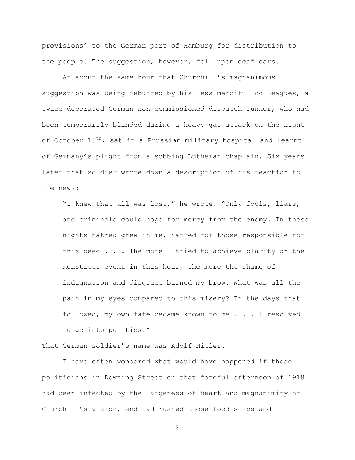provisions' to the German port of Hamburg for distribution to the people. The suggestion, however, fell upon deaf ears.

At about the same hour that Churchill's magnanimous suggestion was being rebuffed by his less merciful colleagues, a twice decorated German non-commissioned dispatch runner, who had been temporarily blinded during a heavy gas attack on the night of October  $13<sup>th</sup>$ , sat in a Prussian military hospital and learnt of Germany's plight from a sobbing Lutheran chaplain. Six years later that soldier wrote down a description of his reaction to the news:

"I knew that all was lost," he wrote. "Only fools, liars, and criminals could hope for mercy from the enemy. In these nights hatred grew in me, hatred for those responsible for this deed . . . The more I tried to achieve clarity on the monstrous event in this hour, the more the shame of indignation and disgrace burned my brow. What was all the pain in my eyes compared to this misery? In the days that followed, my own fate became known to me . . . I resolved to go into politics."

That German soldier's name was Adolf Hitler.

I have often wondered what would have happened if those politicians in Downing Street on that fateful afternoon of 1918 had been infected by the largeness of heart and magnanimity of Churchill's vision, and had rushed those food ships and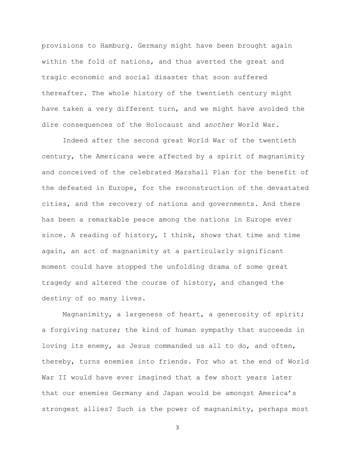provisions to Hamburg. Germany might have been brought again within the fold of nations, and thus averted the great and tragic economic and social disaster that soon suffered thereafter. The whole history of the twentieth century might have taken a very different turn, and we might have avoided the dire consequences of the Holocaust and *another* World War.

Indeed after the second great World War of the twentieth century, the Americans were affected by a spirit of magnanimity and conceived of the celebrated Marshall Plan for the benefit of the defeated in Europe, for the reconstruction of the devastated cities, and the recovery of nations and governments. And there has been a remarkable peace among the nations in Europe ever since. A reading of history, I think, shows that time and time again, an act of magnanimity at a particularly significant moment could have stopped the unfolding drama of some great tragedy and altered the course of history, and changed the destiny of so many lives.

Magnanimity, a largeness of heart, a generosity of spirit; a forgiving nature; the kind of human sympathy that succeeds in loving its enemy, as Jesus commanded us all to do, and often, thereby, turns enemies into friends. For who at the end of World War II would have ever imagined that a few short years later that our enemies Germany and Japan would be amongst America's strongest allies? Such is the power of magnanimity, perhaps most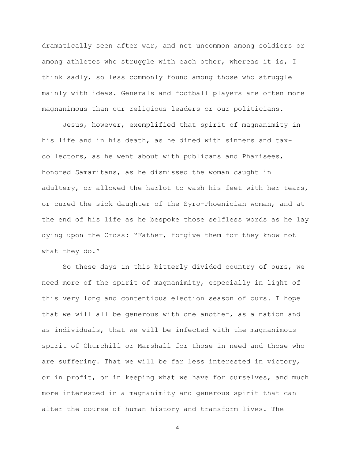dramatically seen after war, and not uncommon among soldiers or among athletes who struggle with each other, whereas it is, I think sadly, so less commonly found among those who struggle mainly with ideas. Generals and football players are often more magnanimous than our religious leaders or our politicians.

Jesus, however, exemplified that spirit of magnanimity in his life and in his death, as he dined with sinners and taxcollectors, as he went about with publicans and Pharisees, honored Samaritans, as he dismissed the woman caught in adultery, or allowed the harlot to wash his feet with her tears, or cured the sick daughter of the Syro-Phoenician woman, and at the end of his life as he bespoke those selfless words as he lay dying upon the Cross: "Father, forgive them for they know not what they do."

So these days in this bitterly divided country of ours, we need more of the spirit of magnanimity, especially in light of this very long and contentious election season of ours. I hope that we will all be generous with one another, as a nation and as individuals, that we will be infected with the magnanimous spirit of Churchill or Marshall for those in need and those who are suffering. That we will be far less interested in victory, or in profit, or in keeping what we have for ourselves, and much more interested in a magnanimity and generous spirit that can alter the course of human history and transform lives. The